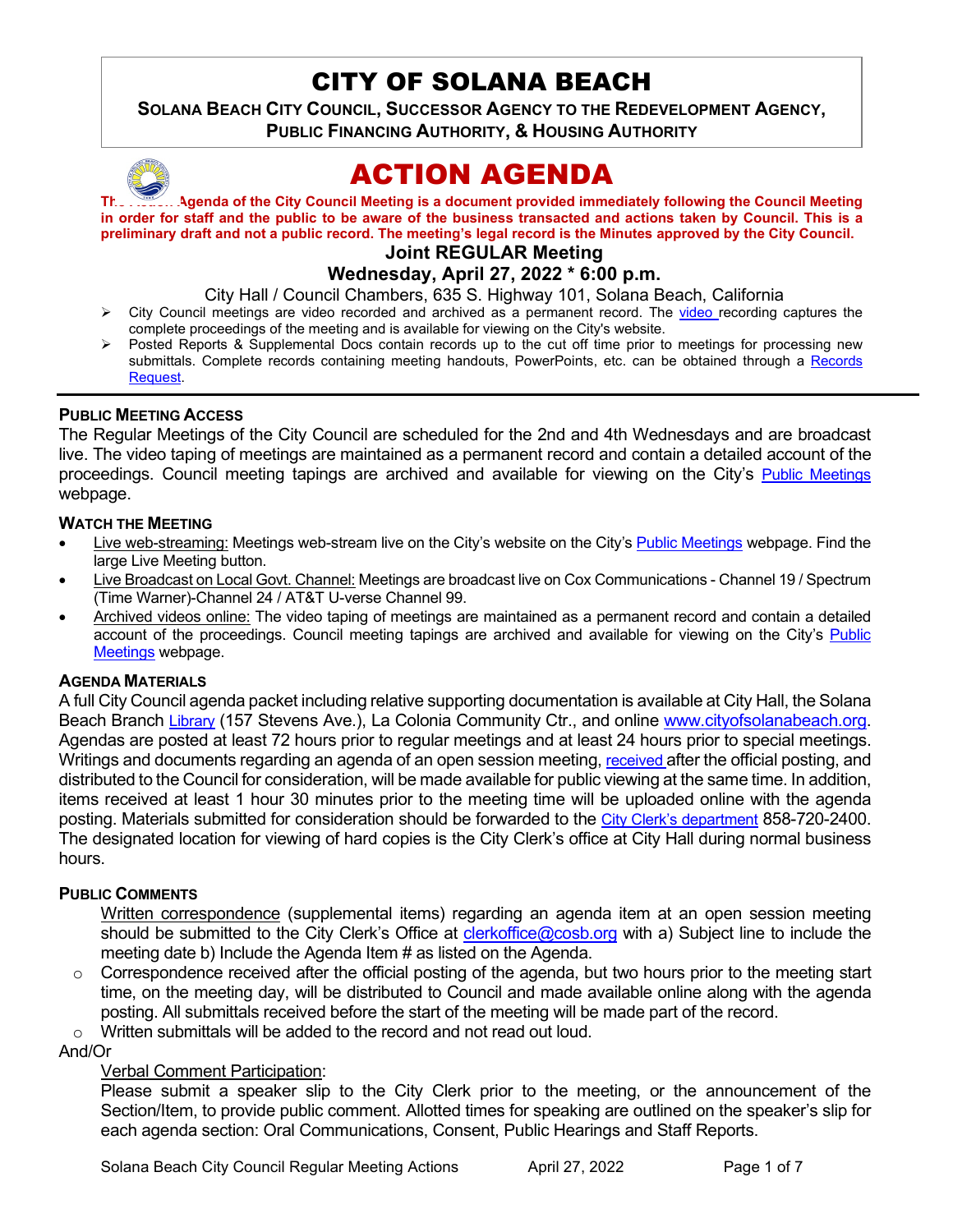# CITY OF SOLANA BEACH

**SOLANA BEACH CITY COUNCIL, SUCCESSOR AGENCY TO THE REDEVELOPMENT AGENCY, PUBLIC FINANCING AUTHORITY, & HOUSING AUTHORITY** 



# ACTION AGENDA

**The [Action](http://www.cityofsolanabeach.org/) Agenda of the City Council Meeting is a document provided immediately following the Council Meeting in order for staff and the public to be aware of the business transacted and actions taken by Council. This is a preliminary draft and not a public record. The meeting's legal record is the Minutes approved by the City Council.**

# **Joint REGULAR Meeting**

# **Wednesday, April 27, 2022 \* 6:00 p.m.**

City Hall / Council Chambers, 635 S. Highway 101, Solana Beach, California

- $\triangleright$  City Council meetings are [video r](https://solanabeach.12milesout.com/#page=1)ecorded and archived as a permanent record. The video recording captures the complete proceedings of the meeting and is available for viewing on the City's website.
- Posted Reports & Supplemental Docs contain records up to the cut off time prior to meetings for processing new submittals. Complete records containing meeting handouts, PowerPoints, etc. can be obtained through a Records [Request.](http://www.ci.solana-beach.ca.us/index.asp?SEC=F5D45D10-70CE-4291-A27C-7BD633FC6742&Type=B_BASIC)

#### **PUBLIC MEETING ACCESS**

The Regular Meetings of the City Council are scheduled for the 2nd and 4th Wednesdays and are broadcast live. The video taping of meetings are maintained as a permanent record and contain a detailed account of the proceedings. Council meeting tapings are archived and available for viewing on the City's [Public Meetings](https://www.ci.solana-beach.ca.us/index.asp?SEC=F0F1200D-21C6-4A88-8AE1-0BC07C1A81A7&Type=B_BASIC) webpage.

#### **WATCH THE MEETING**

- Live web-streaming: Meetings web-stream live on the City's website on the City's [Public Meetings](https://urldefense.proofpoint.com/v2/url?u=https-3A__www.ci.solana-2Dbeach.ca.us_index.asp-3FSEC-3DF0F1200D-2D21C6-2D4A88-2D8AE1-2D0BC07C1A81A7-26Type-3DB-5FBASIC&d=DwMFAg&c=euGZstcaTDllvimEN8b7jXrwqOf-v5A_CdpgnVfiiMM&r=1XAsCUuqwK_tji2t0s1uIQ&m=wny2RVfZJ2tN24LkqZmkUWNpwL_peNtTZUBlTBZiMM4&s=WwpcEQpHHkFen6nS6q2waMuQ_VMZ-i1YZ60lD-dYRRE&e=) webpage. Find the large Live Meeting button.
- Live Broadcast on Local Govt. Channel: Meetings are broadcast live on Cox Communications Channel 19 / Spectrum (Time Warner)-Channel 24 / AT&T U-verse Channel 99.
- Archived videos online: The video taping of meetings are maintained as a permanent record and contain a detailed account of the proceedings. Council meeting tapings are archived and available for viewing on the City's [Public](https://urldefense.proofpoint.com/v2/url?u=https-3A__www.ci.solana-2Dbeach.ca.us_index.asp-3FSEC-3DF0F1200D-2D21C6-2D4A88-2D8AE1-2D0BC07C1A81A7-26Type-3DB-5FBASIC&d=DwMFAg&c=euGZstcaTDllvimEN8b7jXrwqOf-v5A_CdpgnVfiiMM&r=1XAsCUuqwK_tji2t0s1uIQ&m=wny2RVfZJ2tN24LkqZmkUWNpwL_peNtTZUBlTBZiMM4&s=WwpcEQpHHkFen6nS6q2waMuQ_VMZ-i1YZ60lD-dYRRE&e=)  [Meetings](https://urldefense.proofpoint.com/v2/url?u=https-3A__www.ci.solana-2Dbeach.ca.us_index.asp-3FSEC-3DF0F1200D-2D21C6-2D4A88-2D8AE1-2D0BC07C1A81A7-26Type-3DB-5FBASIC&d=DwMFAg&c=euGZstcaTDllvimEN8b7jXrwqOf-v5A_CdpgnVfiiMM&r=1XAsCUuqwK_tji2t0s1uIQ&m=wny2RVfZJ2tN24LkqZmkUWNpwL_peNtTZUBlTBZiMM4&s=WwpcEQpHHkFen6nS6q2waMuQ_VMZ-i1YZ60lD-dYRRE&e=) webpage.

#### **AGENDA MATERIALS**

A full City Council agenda packet including relative supporting documentation is available at City Hall, the Solana Beach Branch [Library](http://www.sdcl.org/locations_SB.html) (157 Stevens Ave.), La Colonia Community Ctr., and online [www.cityofsolanabeach.org.](http://www.cityofsolanabeach.org/) Agendas are posted at least 72 hours prior to regular meetings and at least 24 hours prior to special meetings. Writings and documents regarding an agenda of an open session meeting[, received a](mailto:EMAILGRP-CityClerksOfc@cosb.org)fter the official posting, and distributed to the Council for consideration, will be made available for public viewing at the same time. In addition, items received at least 1 hour 30 minutes prior to the meeting time will be uploaded online with the agenda posting. Materials submitted for consideration should be forwarded to the [City Clerk's department](mailto:clerkoffice@cosb.org) 858-720-2400. The designated location for viewing of hard copies is the City Clerk's office at City Hall during normal business hours.

#### **PUBLIC COMMENTS**

Written correspondence (supplemental items) regarding an agenda item at an open session meeting should be submitted to the City Clerk's Office at [clerkoffice@cosb.org](mailto:clerkoffice@cosb.org) with a) Subject line to include the meeting date b) Include the Agenda Item # as listed on the Agenda.

- $\circ$  Correspondence received after the official posting of the agenda, but two hours prior to the meeting start time, on the meeting day, will be distributed to Council and made available online along with the agenda posting. All submittals received before the start of the meeting will be made part of the record.
- $\circ$  Written submittals will be added to the record and not read out loud.

# And/Or

# Verbal Comment Participation:

Please submit a speaker slip to the City Clerk prior to the meeting, or the announcement of the Section/Item, to provide public comment. Allotted times for speaking are outlined on the speaker's slip for each agenda section: Oral Communications, Consent, Public Hearings and Staff Reports.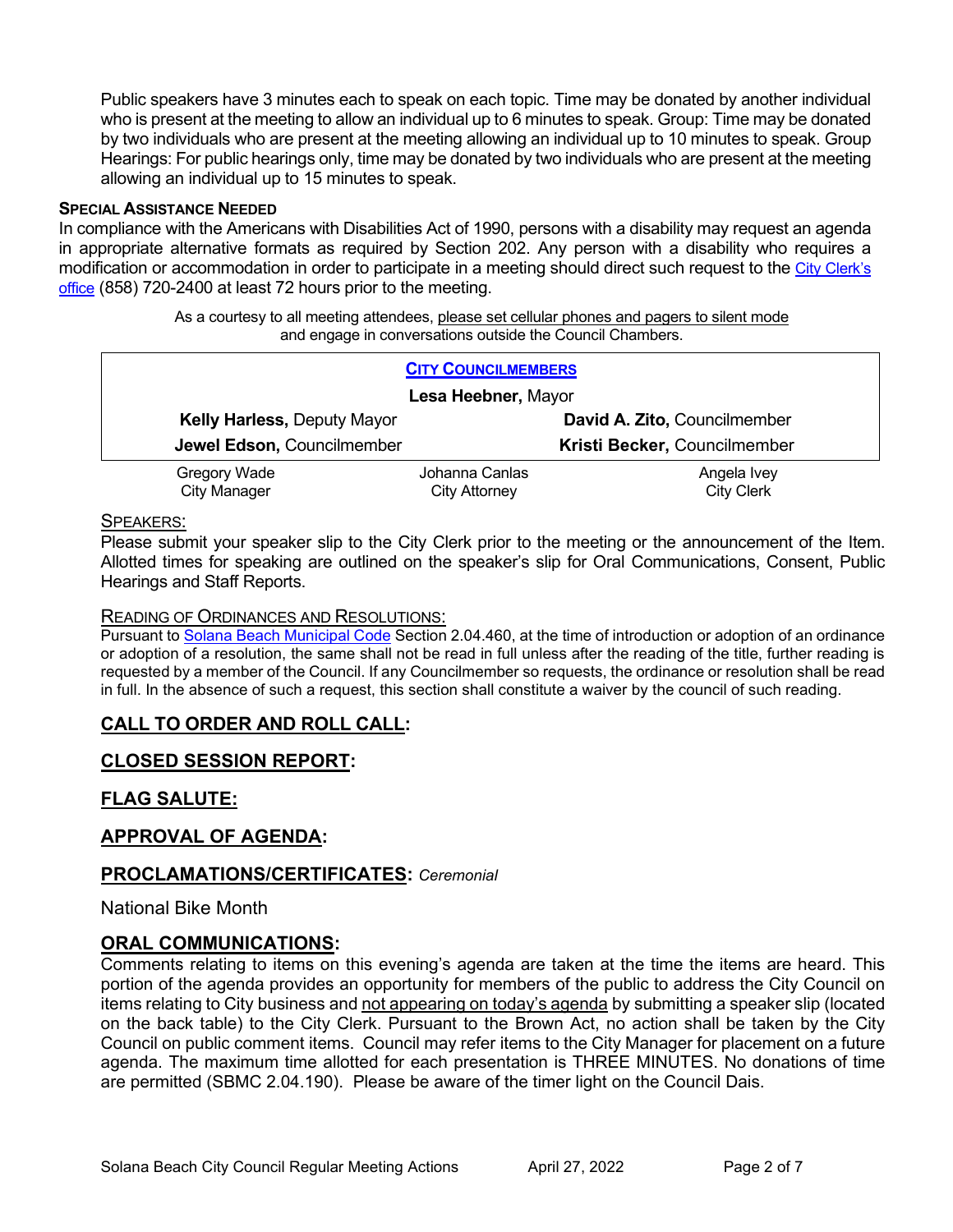Public speakers have 3 minutes each to speak on each topic. Time may be donated by another individual who is present at the meeting to allow an individual up to 6 minutes to speak. Group: Time may be donated by two individuals who are present at the meeting allowing an individual up to 10 minutes to speak. Group Hearings: For public hearings only, time may be donated by two individuals who are present at the meeting allowing an individual up to 15 minutes to speak.

#### **SPECIAL ASSISTANCE NEEDED**

In compliance with the Americans with Disabilities Act of 1990, persons with a disability may request an agenda in appropriate alternative formats as required by Section 202. Any person with a disability who requires a modification or accommodation in order to participate in a meeting should direct such request to the [City Clerk's](mailto:clerkadmin@cosb.org?subject=City%20Clerk%20Notice%20of%20Special%20Services%20Needed)  [office](mailto:clerkadmin@cosb.org?subject=City%20Clerk%20Notice%20of%20Special%20Services%20Needed) (858) 720-2400 at least 72 hours prior to the meeting.

> As a courtesy to all meeting attendees, please set cellular phones and pagers to silent mode and engage in conversations outside the Council Chambers.

| <b>CITY COUNCILMEMBERS</b>         |                |                              |
|------------------------------------|----------------|------------------------------|
| Lesa Heebner, Mayor                |                |                              |
| <b>Kelly Harless, Deputy Mayor</b> |                | David A. Zito, Councilmember |
| Jewel Edson, Councilmember         |                | Kristi Becker, Councilmember |
| Gregory Wade                       | Johanna Canlas | Angela Ivey                  |
| <b>City Manager</b>                | City Attorney  | <b>City Clerk</b>            |

#### SPEAKERS:

Please submit your speaker slip to the City Clerk prior to the meeting or the announcement of the Item. Allotted times for speaking are outlined on the speaker's slip for Oral Communications, Consent, Public Hearings and Staff Reports.

#### READING OF ORDINANCES AND RESOLUTIONS:

Pursuant to [Solana Beach Municipal Code](mailto:https://www.codepublishing.com/CA/SolanaBeach/) Section 2.04.460, at the time of introduction or adoption of an ordinance or adoption of a resolution, the same shall not be read in full unless after the reading of the title, further reading is requested by a member of the Council. If any Councilmember so requests, the ordinance or resolution shall be read in full. In the absence of such a request, this section shall constitute a waiver by the council of such reading.

### **CALL TO ORDER AND ROLL CALL:**

### **CLOSED SESSION REPORT:**

### **FLAG SALUTE:**

#### **APPROVAL OF AGENDA:**

#### **PROCLAMATIONS/CERTIFICATES:** *Ceremonial*

National Bike Month

#### **ORAL COMMUNICATIONS:**

Comments relating to items on this evening's agenda are taken at the time the items are heard. This portion of the agenda provides an opportunity for members of the public to address the City Council on items relating to City business and not appearing on today's agenda by submitting a speaker slip (located on the back table) to the City Clerk. Pursuant to the Brown Act, no action shall be taken by the City Council on public comment items. Council may refer items to the City Manager for placement on a future agenda. The maximum time allotted for each presentation is THREE MINUTES. No donations of time are permitted (SBMC 2.04.190). Please be aware of the timer light on the Council Dais.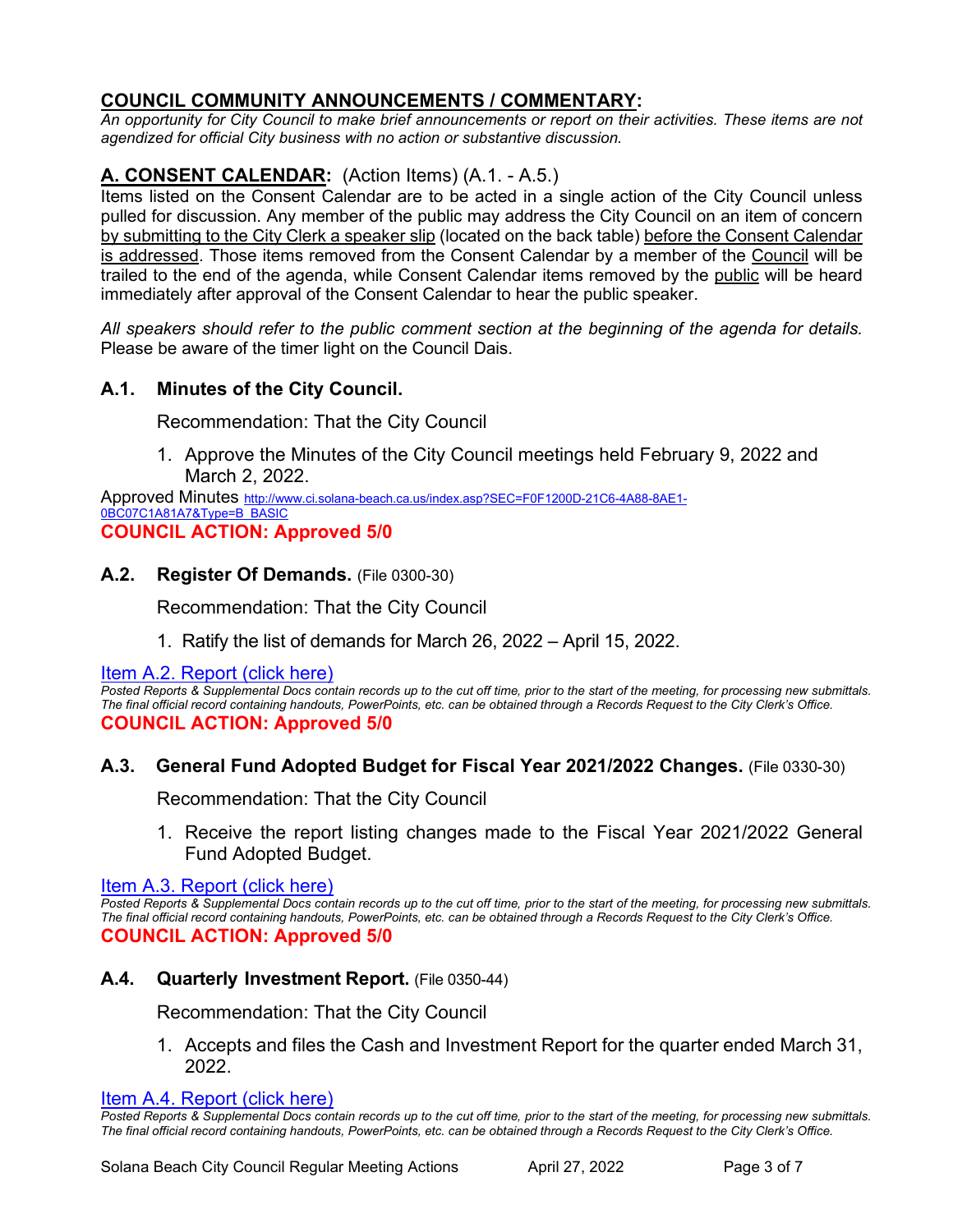# **COUNCIL COMMUNITY ANNOUNCEMENTS / COMMENTARY:**

*An opportunity for City Council to make brief announcements or report on their activities. These items are not agendized for official City business with no action or substantive discussion.* 

# **A. CONSENT CALENDAR:** (Action Items) (A.1. - A.5.)

Items listed on the Consent Calendar are to be acted in a single action of the City Council unless pulled for discussion. Any member of the public may address the City Council on an item of concern by submitting to the City Clerk a speaker slip (located on the back table) before the Consent Calendar is addressed. Those items removed from the Consent Calendar by a member of the Council will be trailed to the end of the agenda, while Consent Calendar items removed by the public will be heard immediately after approval of the Consent Calendar to hear the public speaker.

*All speakers should refer to the public comment section at the beginning of the agenda for details.* Please be aware of the timer light on the Council Dais.

# **A.1. Minutes of the City Council.**

Recommendation: That the City Council

1. Approve the Minutes of the City Council meetings held February 9, 2022 and March 2, 2022.

Approved Minutes [http://www.ci.solana-beach.ca.us/index.asp?SEC=F0F1200D-21C6-4A88-8AE1-](http://www.ci.solana-beach.ca.us/index.asp?SEC=F0F1200D-21C6-4A88-8AE1-0BC07C1A81A7&Type=B_BASIC) [0BC07C1A81A7&Type=B\\_BASIC](http://www.ci.solana-beach.ca.us/index.asp?SEC=F0F1200D-21C6-4A88-8AE1-0BC07C1A81A7&Type=B_BASIC)

# **COUNCIL ACTION: Approved 5/0**

### **A.2. Register Of Demands.** (File 0300-30)

Recommendation: That the City Council

1. Ratify the list of demands for March 26, 2022 – April 15, 2022.

[Item A.2. Report \(click here\)](https://solanabeach.govoffice3.com/vertical/Sites/%7B840804C2-F869-4904-9AE3-720581350CE7%7D/uploads/A.2._Report_-_4-27-22_-_O.pdf)

**Posted Reports & Supplemental Docs contain records up to the cut off time, prior to the start of the meeting, for processing new submittals.** *The final official record containing handouts, PowerPoints, etc. can be obtained through a Records Request to the City Clerk's Office.* **COUNCIL ACTION: Approved 5/0**

# **A.3. General Fund Adopted Budget for Fiscal Year 2021/2022 Changes.** (File 0330-30)

Recommendation: That the City Council

1. Receive the report listing changes made to the Fiscal Year 2021/2022 General Fund Adopted Budget.

[Item A.3. Report \(click here\)](https://solanabeach.govoffice3.com/vertical/Sites/%7B840804C2-F869-4904-9AE3-720581350CE7%7D/uploads/A.3._Report_-_4-27-22_-_O.pdf)

**Posted Reports & Supplemental Docs contain records up to the cut off time, prior to the start of the meeting, for processing new submittals.** *The final official record containing handouts, PowerPoints, etc. can be obtained through a Records Request to the City Clerk's Office.* **COUNCIL ACTION: Approved 5/0**

### **A.4. Quarterly Investment Report.** (File 0350-44)

Recommendation: That the City Council

1. Accepts and files the Cash and Investment Report for the quarter ended March 31, 2022.

[Item A.4. Report \(click here\)](https://solanabeach.govoffice3.com/vertical/Sites/%7B840804C2-F869-4904-9AE3-720581350CE7%7D/uploads/A.4._Report_-_4-27-22_-_O.pdf)

Posted Reports & Supplemental Docs contain records up to the cut off time, prior to the start of the meeting, for processing new submittals. *The final official record containing handouts, PowerPoints, etc. can be obtained through a Records Request to the City Clerk's Office.*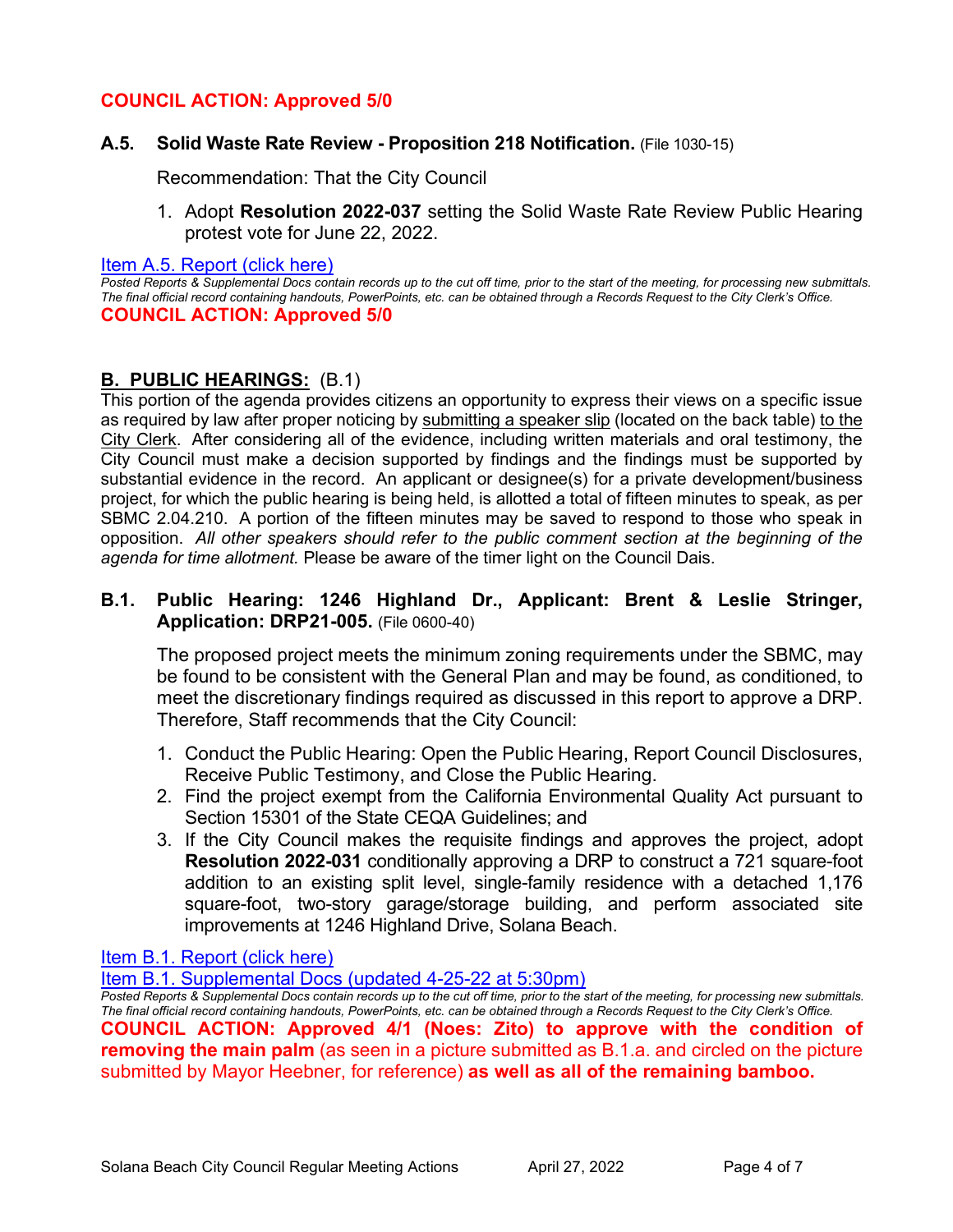# **COUNCIL ACTION: Approved 5/0**

### **A.5. Solid Waste Rate Review - Proposition 218 Notification.** (File 1030-15)

Recommendation: That the City Council

1. Adopt **Resolution 2022-037** setting the Solid Waste Rate Review Public Hearing protest vote for June 22, 2022.

#### [Item A.5. Report \(click here\)](https://solanabeach.govoffice3.com/vertical/Sites/%7B840804C2-F869-4904-9AE3-720581350CE7%7D/uploads/A.5._Report_-_4-27-22_-_O.pdf)

*Posted Reports & Supplemental Docs contain records up to the cut off time, prior to the start of the meeting, for processing new submittals. The final official record containing handouts, PowerPoints, etc. can be obtained through a Records Request to the City Clerk's Office.* **COUNCIL ACTION: Approved 5/0**

# **B. PUBLIC HEARINGS:** (B.1)

This portion of the agenda provides citizens an opportunity to express their views on a specific issue as required by law after proper noticing by submitting a speaker slip (located on the back table) to the City Clerk. After considering all of the evidence, including written materials and oral testimony, the City Council must make a decision supported by findings and the findings must be supported by substantial evidence in the record. An applicant or designee(s) for a private development/business project, for which the public hearing is being held, is allotted a total of fifteen minutes to speak, as per SBMC 2.04.210. A portion of the fifteen minutes may be saved to respond to those who speak in opposition. *All other speakers should refer to the public comment section at the beginning of the agenda for time allotment.* Please be aware of the timer light on the Council Dais.

### **B.1. Public Hearing: 1246 Highland Dr., Applicant: Brent & Leslie Stringer, Application: DRP21-005.** (File 0600-40)

The proposed project meets the minimum zoning requirements under the SBMC, may be found to be consistent with the General Plan and may be found, as conditioned, to meet the discretionary findings required as discussed in this report to approve a DRP. Therefore, Staff recommends that the City Council:

- 1. Conduct the Public Hearing: Open the Public Hearing, Report Council Disclosures, Receive Public Testimony, and Close the Public Hearing.
- 2. Find the project exempt from the California Environmental Quality Act pursuant to Section 15301 of the State CEQA Guidelines; and
- 3. If the City Council makes the requisite findings and approves the project, adopt **Resolution 2022-031** conditionally approving a DRP to construct a 721 square-foot addition to an existing split level, single-family residence with a detached 1,176 square-foot, two-story garage/storage building, and perform associated site improvements at 1246 Highland Drive, Solana Beach.

### [Item B.1. Report \(click here\)](https://solanabeach.govoffice3.com/vertical/Sites/%7B840804C2-F869-4904-9AE3-720581350CE7%7D/uploads/B.1._Report_-_4-27-22_-_O.pdf)

[Item B.1. Supplemental Docs \(updated 4-25-22 at 5:30pm\)](https://solanabeach.govoffice3.com/vertical/Sites/%7B840804C2-F869-4904-9AE3-720581350CE7%7D/uploads/B.1._Supp_Docs_(4-25)_-_O.pdf)

*Posted Reports & Supplemental Docs contain records up to the cut off time, prior to the start of the meeting, for processing new submittals. The final official record containing handouts, PowerPoints, etc. can be obtained through a Records Request to the City Clerk's Office.* **COUNCIL ACTION: Approved 4/1 (Noes: Zito) to approve with the condition of removing the main palm** (as seen in a picture submitted as B.1.a. and circled on the picture submitted by Mayor Heebner, for reference) **as well as all of the remaining bamboo.**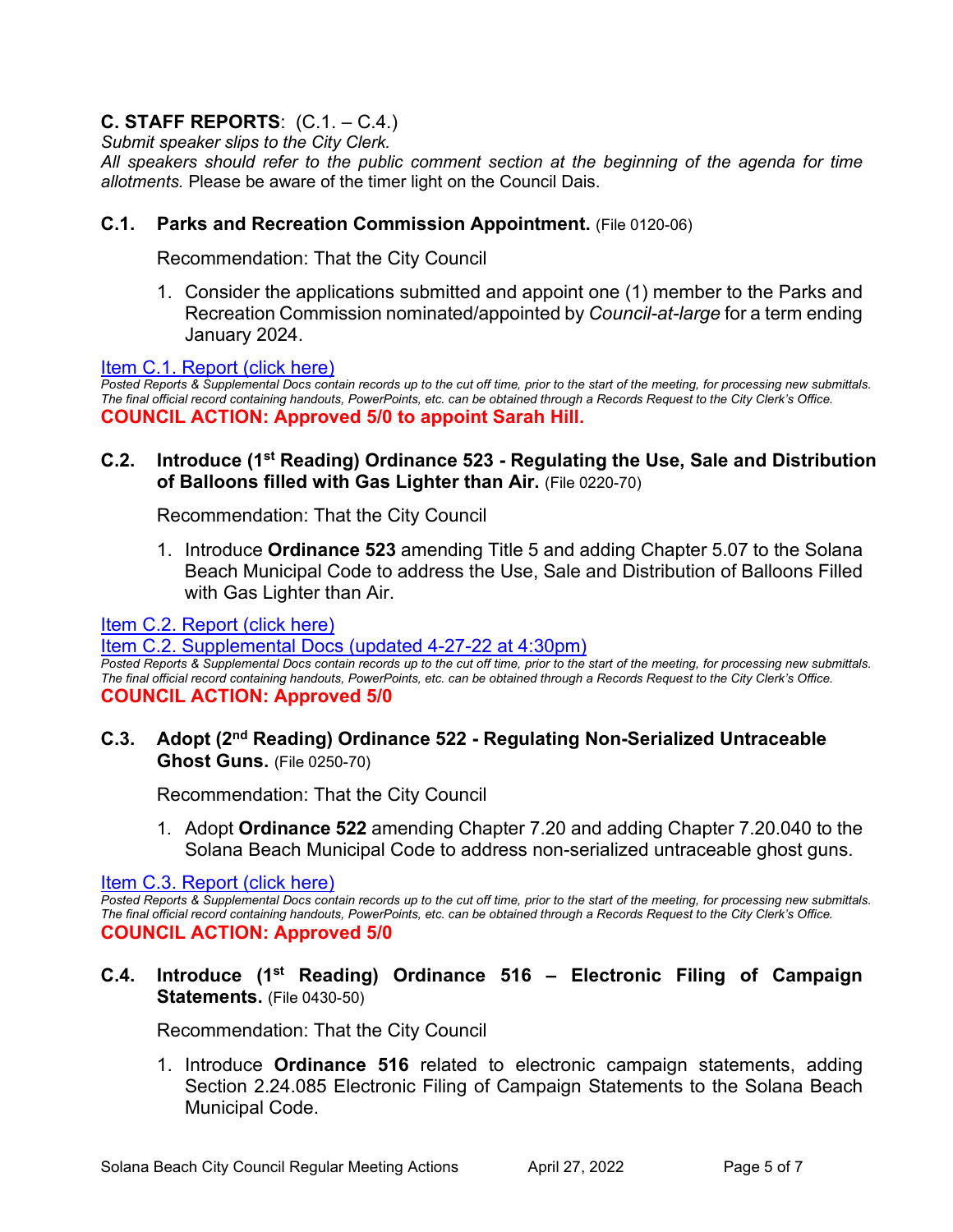# **C. STAFF REPORTS**: (C.1. – C.4.)

*Submit speaker slips to the City Clerk.*

*All speakers should refer to the public comment section at the beginning of the agenda for time allotments.* Please be aware of the timer light on the Council Dais.

# **C.1. Parks and Recreation Commission Appointment.** (File 0120-06)

Recommendation: That the City Council

1. Consider the applications submitted and appoint one (1) member to the Parks and Recreation Commission nominated/appointed by *Council-at-large* for a term ending [January 2024.](https://solanabeach.govoffice3.com/vertical/Sites/%7B840804C2-F869-4904-9AE3-720581350CE7%7D/uploads/C.1._Report_-_4-27-22_-_O.pdf) 

### [Item C.1. Report \(click here\)](https://solanabeach.govoffice3.com/vertical/Sites/%7B840804C2-F869-4904-9AE3-720581350CE7%7D/uploads/C.1._Report_-_4-27-22_-_O.pdf)

*Posted Reports & Supplemental Docs contain records up to the cut off time, prior to the start of the meeting, for processing new submittals. The final official record containing handouts, PowerPoints, etc. can be obtained through a Records Request to the City Clerk's Office.* **COUNCIL ACTION: Approved 5/0 to appoint Sarah Hill.**

### **C.2. Introduce (1st Reading) Ordinance 523 - Regulating the Use, Sale and Distribution of Balloons filled with Gas Lighter than Air.** (File 0220-70)

Recommendation: That the City Council

1. Introduce **Ordinance 523** amending Title 5 and adding Chapter 5.07 to the Solana Beach Municipal Code to address the Use, Sale and Distribution of Balloons Filled with Gas Lighter than Air.

### [Item C.2. Report \(click here\)](https://solanabeach.govoffice3.com/vertical/Sites/%7B840804C2-F869-4904-9AE3-720581350CE7%7D/uploads/C.2._Report_-_4-27-22_-_O.pdf)

[Item C.2. Supplemental Docs \(updated 4-27-22](https://solanabeach.govoffice3.com/vertical/Sites/%7B840804C2-F869-4904-9AE3-720581350CE7%7D/uploads/C.2._Supp_Docs_(4-27_415pm)_-_O.pdf) at 4:30pm)

*Posted Reports & Supplemental Docs contain records up to the cut off time, prior to the start of the meeting, for processing new submittals. The final official record containing handouts, PowerPoints, etc. can be obtained through a Records Request to the City Clerk's Office.* **COUNCIL ACTION: Approved 5/0**

**C.3. Adopt (2nd Reading) Ordinance 522 - Regulating Non-Serialized Untraceable Ghost Guns.** (File 0250-70)

Recommendation: That the City Council

1. Adopt **Ordinance 522** amending Chapter 7.20 and adding Chapter 7.20.040 to the Solana Beach Municipal Code to address non-serialized untraceable ghost guns.

[Item C.3. Report \(click here\)](https://solanabeach.govoffice3.com/vertical/Sites/%7B840804C2-F869-4904-9AE3-720581350CE7%7D/uploads/C.3._Report_-_4-27-22_-_O.pdf)

*Posted Reports & Supplemental Docs contain records up to the cut off time, prior to the start of the meeting, for processing new submittals. The final official record containing handouts, PowerPoints, etc. can be obtained through a Records Request to the City Clerk's Office.* **COUNCIL ACTION: Approved 5/0**

# **C.4. Introduce (1st Reading) Ordinance 516 – Electronic Filing of Campaign Statements.** (File 0430-50)

Recommendation: That the City Council

1. Introduce **Ordinance 516** related to electronic campaign statements, adding Section 2.24.085 Electronic Filing of Campaign Statements to the Solana Beach [Municipal Code.](https://solanabeach.govoffice3.com/vertical/Sites/%7B840804C2-F869-4904-9AE3-720581350CE7%7D/uploads/C.4._Report_-_4-27-22_-_O.pdf)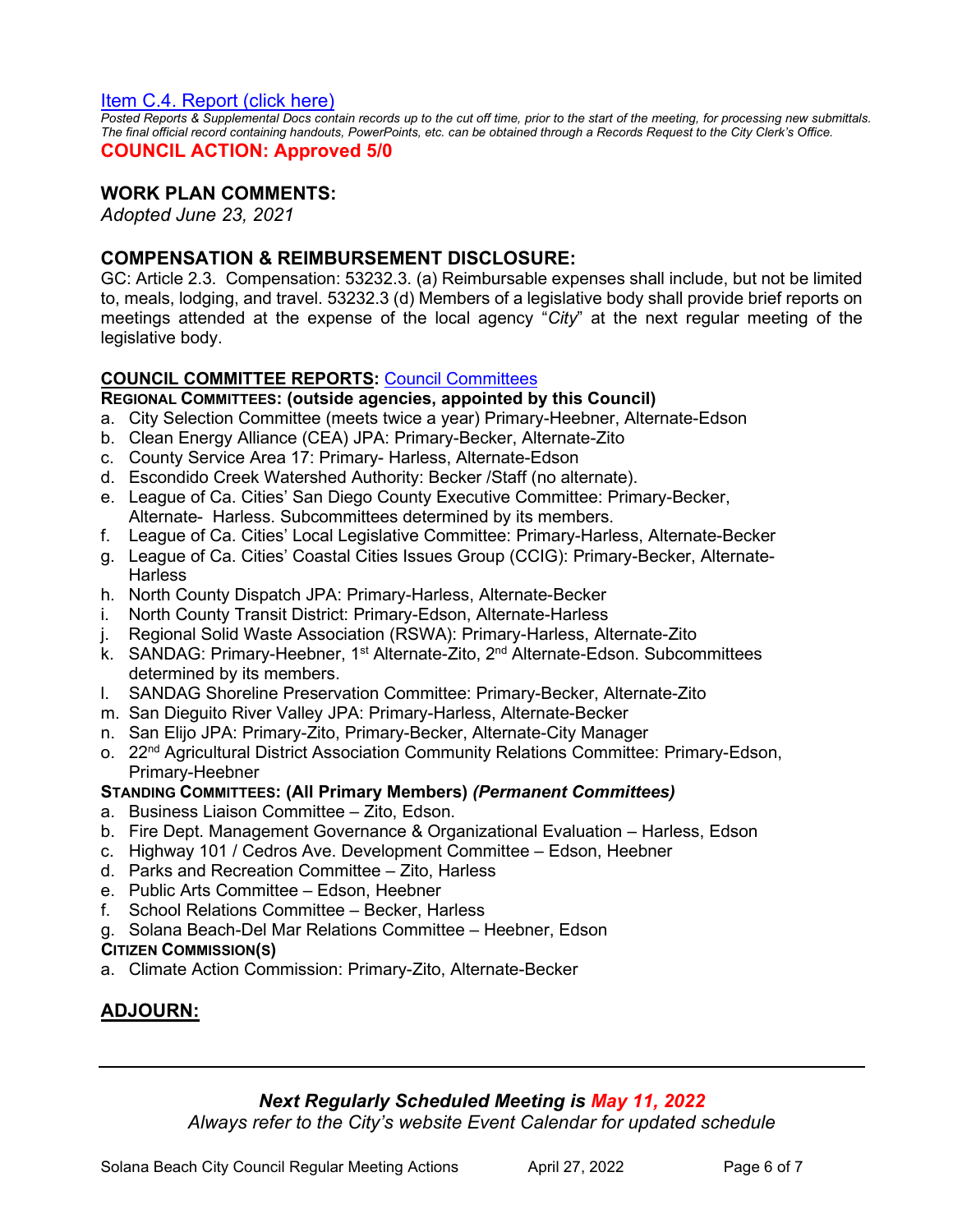### [Item C.4. Report \(click here\)](https://solanabeach.govoffice3.com/vertical/Sites/%7B840804C2-F869-4904-9AE3-720581350CE7%7D/uploads/C.4._Report_-_4-27-22_-_O.pdf)

*Posted Reports & Supplemental Docs contain records up to the cut off time, prior to the start of the meeting, for processing new submittals. The final official record containing handouts, PowerPoints, etc. can be obtained through a Records Request to the City Clerk's Office.*

#### **COUNCIL ACTION: Approved 5/0**

### **WORK PLAN COMMENTS:**

*Adopted June 23, 2021*

### **COMPENSATION & REIMBURSEMENT DISCLOSURE:**

GC: Article 2.3. Compensation: 53232.3. (a) Reimbursable expenses shall include, but not be limited to, meals, lodging, and travel. 53232.3 (d) Members of a legislative body shall provide brief reports on meetings attended at the expense of the local agency "*City*" at the next regular meeting of the legislative body.

### **COUNCIL COMMITTEE REPORTS:** [Council Committees](https://www.ci.solana-beach.ca.us/index.asp?SEC=584E1192-3850-46EA-B977-088AC3E81E0D&Type=B_BASIC)

#### **REGIONAL COMMITTEES: (outside agencies, appointed by this Council)**

- a. City Selection Committee (meets twice a year) Primary-Heebner, Alternate-Edson
- b. Clean Energy Alliance (CEA) JPA: Primary-Becker, Alternate-Zito
- c. County Service Area 17: Primary- Harless, Alternate-Edson
- d. Escondido Creek Watershed Authority: Becker /Staff (no alternate).
- e. League of Ca. Cities' San Diego County Executive Committee: Primary-Becker, Alternate- Harless. Subcommittees determined by its members.
- f. League of Ca. Cities' Local Legislative Committee: Primary-Harless, Alternate-Becker
- g. League of Ca. Cities' Coastal Cities Issues Group (CCIG): Primary-Becker, Alternate-**Harless**
- h. North County Dispatch JPA: Primary-Harless, Alternate-Becker
- i. North County Transit District: Primary-Edson, Alternate-Harless
- j. Regional Solid Waste Association (RSWA): Primary-Harless, Alternate-Zito
- k. SANDAG: Primary-Heebner, 1<sup>st</sup> Alternate-Zito, 2<sup>nd</sup> Alternate-Edson. Subcommittees determined by its members.
- l. SANDAG Shoreline Preservation Committee: Primary-Becker, Alternate-Zito
- m. San Dieguito River Valley JPA: Primary-Harless, Alternate-Becker
- n. San Elijo JPA: Primary-Zito, Primary-Becker, Alternate-City Manager
- o. 22<sup>nd</sup> Agricultural District Association Community Relations Committee: Primary-Edson, Primary-Heebner
- **STANDING COMMITTEES: (All Primary Members)** *(Permanent Committees)*
- a. Business Liaison Committee Zito, Edson.
- b. Fire Dept. Management Governance & Organizational Evaluation Harless, Edson
- c. Highway 101 / Cedros Ave. Development Committee Edson, Heebner
- d. Parks and Recreation Committee Zito, Harless
- e. Public Arts Committee Edson, Heebner
- f. School Relations Committee Becker, Harless
- g. Solana Beach-Del Mar Relations Committee Heebner, Edson

#### **CITIZEN COMMISSION(S)**

a. Climate Action Commission: Primary-Zito, Alternate-Becker

# **ADJOURN:**

# *Next Regularly Scheduled Meeting is May 11, 2022*

*Always refer to the City's website Event Calendar for updated schedule*